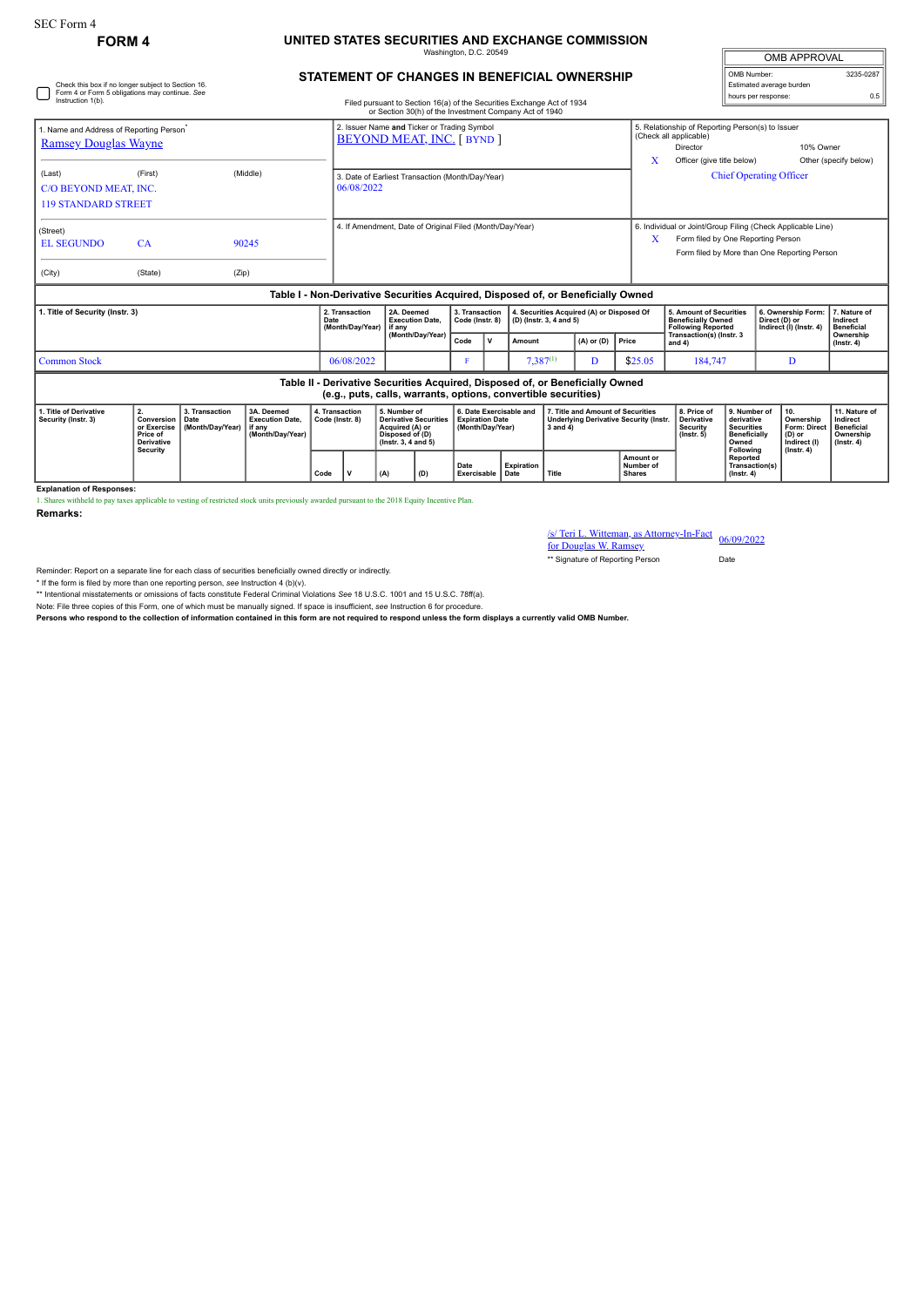## **FORM 4 UNITED STATES SECURITIES AND EXCHANGE COMMISSION** Washington, D.C. 20549

| <b>OMB APPROVAL</b>      |           |
|--------------------------|-----------|
| OMB Number:              | 3235-0287 |
| Estimated average burden |           |
| hours per response:      | ሰ ፍ       |

|                                                                                                                           |         |                                            |                                                                |                                                                                  |              |                                                                                                                        |                                                                                  |         |                                                                                                                                                   |                                                                                                                      |                                                                | <b>OMB APPROVAL</b>                           |                       |
|---------------------------------------------------------------------------------------------------------------------------|---------|--------------------------------------------|----------------------------------------------------------------|----------------------------------------------------------------------------------|--------------|------------------------------------------------------------------------------------------------------------------------|----------------------------------------------------------------------------------|---------|---------------------------------------------------------------------------------------------------------------------------------------------------|----------------------------------------------------------------------------------------------------------------------|----------------------------------------------------------------|-----------------------------------------------|-----------------------|
| Check this box if no longer subject to Section 16.<br>Form 4 or Form 5 obligations may continue. See<br>Instruction 1(b). |         |                                            |                                                                |                                                                                  |              | STATEMENT OF CHANGES IN BENEFICIAL OWNERSHIP<br>Filed pursuant to Section 16(a) of the Securities Exchange Act of 1934 |                                                                                  |         |                                                                                                                                                   | OMB Number:<br>Estimated average burden<br>hours per response:                                                       | 3235-02                                                        |                                               |                       |
|                                                                                                                           |         |                                            |                                                                | or Section 30(h) of the Investment Company Act of 1940                           |              |                                                                                                                        |                                                                                  |         |                                                                                                                                                   |                                                                                                                      |                                                                |                                               |                       |
| 1. Name and Address of Reporting Person <sup>®</sup><br><b>Ramsey Douglas Wayne</b>                                       |         |                                            |                                                                | 2. Issuer Name and Ticker or Trading Symbol<br><b>BEYOND MEAT, INC. [ BYND ]</b> |              |                                                                                                                        |                                                                                  |         | X                                                                                                                                                 | 5. Relationship of Reporting Person(s) to Issuer<br>(Check all applicable)<br>Director<br>Officer (give title below) |                                                                | 10% Owner                                     | Other (specify below) |
| (Last)<br>C/O BEYOND MEAT, INC.<br><b>119 STANDARD STREET</b>                                                             | (First) | (Middle)                                   | 3. Date of Earliest Transaction (Month/Day/Year)<br>06/08/2022 |                                                                                  |              |                                                                                                                        |                                                                                  |         |                                                                                                                                                   |                                                                                                                      |                                                                | <b>Chief Operating Officer</b>                |                       |
| (Street)<br><b>EL SEGUNDO</b>                                                                                             | CA      | 90245                                      |                                                                | 4. If Amendment, Date of Original Filed (Month/Day/Year)                         |              |                                                                                                                        |                                                                                  | X       | 6. Individual or Joint/Group Filing (Check Applicable Line)<br>Form filed by One Reporting Person<br>Form filed by More than One Reporting Person |                                                                                                                      |                                                                |                                               |                       |
| (City)                                                                                                                    | (State) | (Zip)                                      |                                                                |                                                                                  |              |                                                                                                                        |                                                                                  |         |                                                                                                                                                   |                                                                                                                      |                                                                |                                               |                       |
|                                                                                                                           |         |                                            |                                                                |                                                                                  |              |                                                                                                                        | Table I - Non-Derivative Securities Acquired, Disposed of, or Beneficially Owned |         |                                                                                                                                                   |                                                                                                                      |                                                                |                                               |                       |
| 1. Title of Security (Instr. 3)                                                                                           |         | 2. Transaction<br>Date<br>(Month/Day/Year) | 2A. Deemed<br><b>Execution Date.</b><br>if any                 | 3. Transaction<br>Code (Instr. 8)                                                |              | 4. Securities Acquired (A) or Disposed Of<br>(D) (Instr. 3, 4 and 5)                                                   |                                                                                  |         | <b>5. Amount of Securities</b><br><b>Beneficially Owned</b><br><b>Following Reported</b>                                                          |                                                                                                                      | 6. Ownership Form:<br>Direct (D) or<br>Indirect (I) (Instr. 4) | 7. Nature of<br>Indirect<br><b>Beneficial</b> |                       |
|                                                                                                                           |         |                                            | (Month/Day/Year)                                               | Code                                                                             | $\mathsf{v}$ | Amount                                                                                                                 | $(A)$ or $(D)$                                                                   | Price   | Transaction(s) (Instr. 3<br>and $4)$                                                                                                              |                                                                                                                      |                                                                | Ownership<br>$($ lnstr. 4 $)$                 |                       |
| <b>Common Stock</b>                                                                                                       |         | 06/08/2022                                 |                                                                |                                                                                  |              | $7,387^{(1)}$                                                                                                          | D                                                                                | \$25.05 | 184,747                                                                                                                                           |                                                                                                                      | D                                                              |                                               |                       |

| Table II - Derivative Securities Acquired, Disposed of, or Beneficially Owned<br>(e.g., puts, calls, warrants, options, convertible securities) |                                                                                      |                                    |                                                                      |                                   |  |                                                                                                          |     |                                                                       |                   |                                                                                                |                                         |                                                                  |                                                                                       |                                                                                 |                                                                          |
|-------------------------------------------------------------------------------------------------------------------------------------------------|--------------------------------------------------------------------------------------|------------------------------------|----------------------------------------------------------------------|-----------------------------------|--|----------------------------------------------------------------------------------------------------------|-----|-----------------------------------------------------------------------|-------------------|------------------------------------------------------------------------------------------------|-----------------------------------------|------------------------------------------------------------------|---------------------------------------------------------------------------------------|---------------------------------------------------------------------------------|--------------------------------------------------------------------------|
| 1. Title of Derivative<br>Security (Instr. 3)                                                                                                   | <b>Conversion   Date</b><br>or Exercise<br>Price of<br><b>Derivative</b><br>Security | 3. Transaction<br>(Month/Dav/Year) | 3A. Deemed<br><b>Execution Date.</b><br>l if anv<br>(Month/Dav/Year) | 4. Transaction<br>Code (Instr. 8) |  | 5. Number of<br>Derivative Securities<br>Acquired (A) or<br>Disposed of (D)<br>$($ lnstr. 3. 4 and 5 $)$ |     | 6. Date Exercisable and<br><b>Expiration Date</b><br>(Month/Dav/Year) |                   | 7. Title and Amount of Securities<br><b>Underlying Derivative Security (Instr.</b><br>3 and 4) |                                         | 8. Price of<br><b>Derivative</b><br>Security<br>$($ lnstr. 5 $)$ | 9. Number of<br>derivative<br>Securities<br><b>Beneficially</b><br>Owned<br>Following | 10<br>Ownership<br>Form: Direct<br>$(D)$ or<br>Indirect (I)<br>$($ lnstr. 4 $)$ | 11. Nature of<br>Indirect<br>Beneficial<br>Ownership<br>$($ lnstr. 4 $)$ |
|                                                                                                                                                 |                                                                                      |                                    |                                                                      | Code                              |  |                                                                                                          | (D) | Date<br>Exercisable Date                                              | <b>Expiration</b> | Title                                                                                          | Amount or<br>Number of<br><b>Shares</b> |                                                                  | Reported<br>Transaction(s)<br>$($ lnstr. 4 $)$                                        |                                                                                 |                                                                          |

1. Shares withheld to pay taxes applicable to vesting of restricted stock units previously awarded pursuant to the 2018 Equity Incentive Plan.

**Remarks:**

**Explanation of Responses:**

/s/ Teri L. Witteman, as Attorney-In-Fact for Douglas W. Ramsey 06/09/2022

\*\* Signature of Reporting Person Date

Reminder: Report on a separate line for each class of securities beneficially owned directly or indirectly.

\* If the form is filed by more than one reporting person, *see* Instruction 4 (b)(v).

\*\* Intentional misstatements or omissions of facts constitute Federal Criminal Violations *See* 18 U.S.C. 1001 and 15 U.S.C. 78ff(a).

Note: File three copies of this Form, one of which must be manually signed. If space is insufficient, *see* Instruction 6 for procedure.

**Persons who respond to the collection of information contained in this form are not required to respond unless the form displays a currently valid OMB Number.**